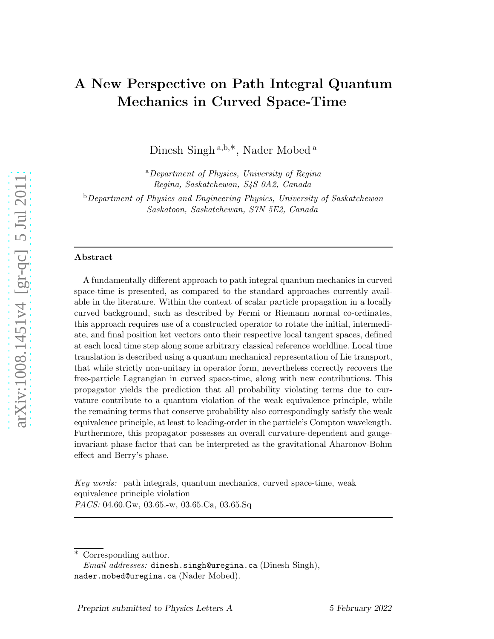# A New Perspective on Path Integral Quantum Mechanics in Curved Space-Time

Dinesh Singh<sup>a,b,\*</sup>, Nader Mobed<sup>a</sup>

<sup>a</sup>Department of Physics, University of Regina Regina, Saskatchewan, S4S 0A2, Canada

<sup>b</sup>Department of Physics and Engineering Physics, University of Saskatchewan Saskatoon, Saskatchewan, S7N 5E2, Canada

#### Abstract

A fundamentally different approach to path integral quantum mechanics in curved space-time is presented, as compared to the standard approaches currently available in the literature. Within the context of scalar particle propagation in a locally curved background, such as described by Fermi or Riemann normal co-ordinates, this approach requires use of a constructed operator to rotate the initial, intermediate, and final position ket vectors onto their respective local tangent spaces, defined at each local time step along some arbitrary classical reference worldline. Local time translation is described using a quantum mechanical representation of Lie transport, that while strictly non-unitary in operator form, nevertheless correctly recovers the free-particle Lagrangian in curved space-time, along with new contributions. This propagator yields the prediction that all probability violating terms due to curvature contribute to a quantum violation of the weak equivalence principle, while the remaining terms that conserve probability also correspondingly satisfy the weak equivalence principle, at least to leading-order in the particle's Compton wavelength. Furthermore, this propagator possesses an overall curvature-dependent and gaugeinvariant phase factor that can be interpreted as the gravitational Aharonov-Bohm effect and Berry's phase.

Key words: path integrals, quantum mechanics, curved space-time, wea k equivalence principle violation PACS: 04.60.Gw, 03.65.-w, 03.65.Ca, 03.65.Sq

Corresponding author.

 $Email \ addresses:$  dinesh.singh@uregina.ca (Dinesh Singh), nader.mobed@uregina.ca (Nader Mobed).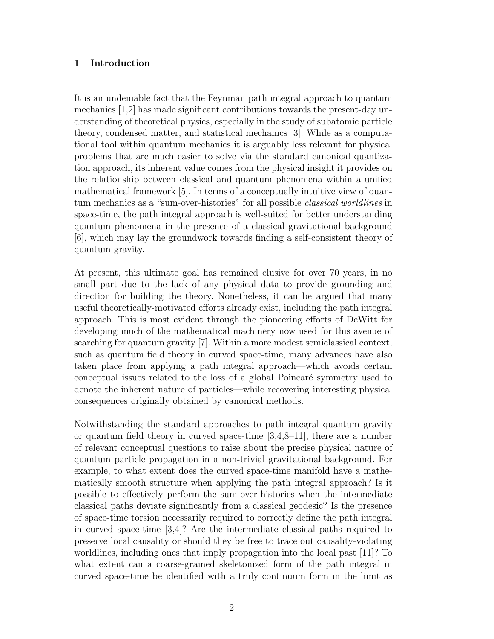## 1 Introduction

It is an undeniable fact that the Feynman path integral approach to quantum mechanics [1,2] has made significant contributions towards the present-day understanding of theoretical physics, especially in the study of subatomic particle theory, condensed matter, and statistical mechanics [3]. While as a computational tool within quantum mechanics it is arguably less relevant for physical problems that are much easier to solve via the standard canonical quantization approach, its inherent value comes from the physical insight it provides on the relationship between classical and quantum phenomena within a unified mathematical framework [5]. In terms of a conceptually intuitive view of quantum mechanics as a "sum-over-histories" for all possible classical worldlines in space-time, the path integral approach is well-suited for better understanding quantum phenomena in the presence of a classical gravitational background [6], which may lay the groundwork towards finding a self-consistent theory of quantum gravity.

At present, this ultimate goal has remained elusive for over 70 years, in no small part due to the lack of any physical data to provide grounding and direction for building the theory. Nonetheless, it can be argued that many useful theoretically-motivated efforts already exist, including the path integral approach. This is most evident through the pioneering efforts of DeWitt for developing much of the mathematical machinery now used for this avenue of searching for quantum gravity [7]. Within a more modest semiclassical context, such as quantum field theory in curved space-time, many advances have also taken place from applying a path integral approach—which avoids certain conceptual issues related to the loss of a global Poincar´e symmetry used to denote the inherent nature of particles—while recovering interesting physical consequences originally obtained by canonical methods.

Notwithstanding the standard approaches to path integral quantum gravity or quantum field theory in curved space-time  $[3,4,8-11]$ , there are a number of relevant conceptual questions to raise about the precise physical nature of quantum particle propagation in a non-trivial gravitational background. For example, to what extent does the curved space-time manifold have a mathematically smooth structure when applying the path integral approach? Is it possible to effectively perform the sum-over-histories when the intermediate classical paths deviate significantly from a classical geodesic? Is the presence of space-time torsion necessarily required to correctly define the path integral in curved space-time [3,4]? Are the intermediate classical paths required to preserve local causality or should they be free to trace out causality-violating worldlines, including ones that imply propagation into the local past [11]? To what extent can a coarse-grained skeletonized form of the path integral in curved space-time be identified with a truly continuum form in the limit as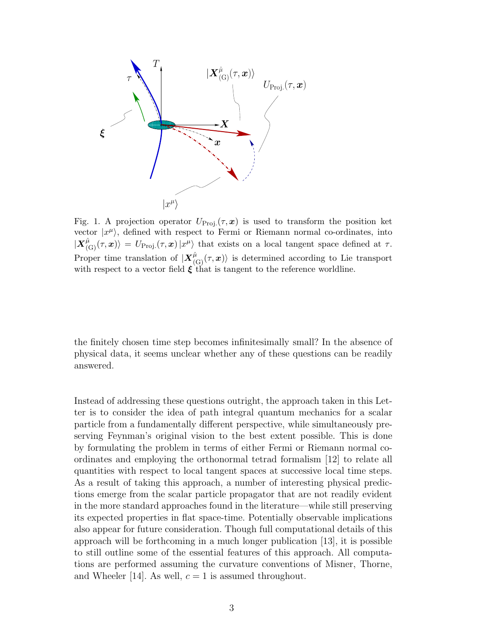

Fig. 1. A projection operator  $U_{\text{Proj.}}(\tau, x)$  is used to transform the position ket vector  $|x^{\mu}\rangle$ , defined with respect to Fermi or Riemann normal co-ordinates, into  $|\mathbf{X}_{(\mathbf{G})}^{\hat{\mu}}(\tau,\mathbf{x})| = U_{\text{Proj.}}(\tau,\mathbf{x}) |x^{\mu}\rangle$  that exists on a local tangent space defined at  $\tau$ . Proper time translation of  $|X^{\hat{\mu}}_{(G)}(\tau,x)\rangle$  is determined according to Lie transport with respect to a vector field  $\xi$  that is tangent to the reference worldline.

the finitely chosen time step becomes infinitesimally small? In the absence of physical data, it seems unclear whether any of these questions can be readily answered.

Instead of addressing these questions outright, the approach taken in this Letter is to consider the idea of path integral quantum mechanics for a scalar particle from a fundamentally different perspective, while simultaneously preserving Feynman's original vision to the best extent possible. This is done by formulating the problem in terms of either Fermi or Riemann normal coordinates and employing the orthonormal tetrad formalism [12] to relate all quantities with respect to local tangent spaces at successive local time steps. As a result of taking this approach, a number of interesting physical predictions emerge from the scalar particle propagator that are not readily evident in the more standard approaches found in the literature—while still preserving its expected properties in flat space-time. Potentially observable implications also appear for future consideration. Though full computational details of this approach will be forthcoming in a much longer publication [13], it is possible to still outline some of the essential features of this approach. All computations are performed assuming the curvature conventions of Misner, Thorne, and Wheeler [14]. As well,  $c = 1$  is assumed throughout.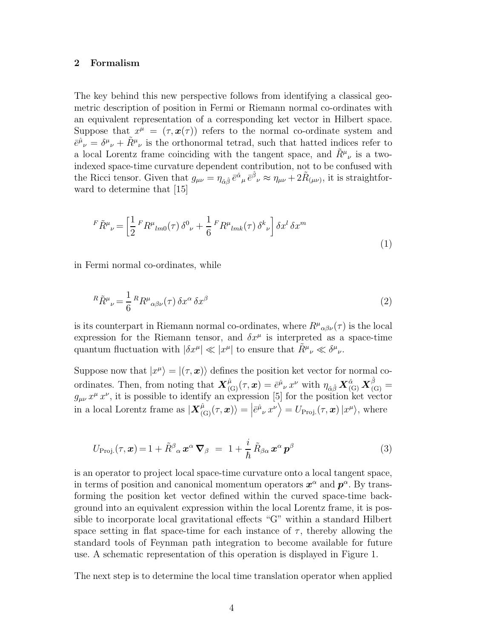## 2 Formalism

The key behind this new perspective follows from identifying a classical geometric description of position in Fermi or Riemann normal co-ordinates with an equivalent representation of a corresponding ket vector in Hilbert space. Suppose that  $x^{\mu} = (\tau, x(\tau))$  refers to the normal co-ordinate system and  $\bar{e}^{\hat{\mu}}{}_{\nu} = \delta^{\mu}{}_{\nu} + \tilde{R}^{\mu}{}_{\nu}$  is the orthonormal tetrad, such that hatted indices refer to a local Lorentz frame coinciding with the tangent space, and  $\tilde{R}^{\mu}{}_{\nu}$  is a twoindexed space-time curvature dependent contribution, not to be confused with the Ricci tensor. Given that  $g_{\mu\nu} = \eta_{\hat{\alpha}\hat{\beta}} \bar{e}^{\hat{\alpha}}{}_{\mu} \bar{e}^{\hat{\beta}}{}_{\nu} \approx \eta_{\mu\nu} + 2\tilde{R}_{(\mu\nu)}$ , it is straightforward to determine that [15]

$$
{}^{F}\tilde{R}^{\mu}{}_{\nu} = \left[\frac{1}{2} {}^{F}R^{\mu}{}_{lm0}(\tau) \,\delta^{0}{}_{\nu} + \frac{1}{6} {}^{F}R^{\mu}{}_{lmk}(\tau) \,\delta^{k}{}_{\nu}\right] \delta x^{l} \,\delta x^{m} \tag{1}
$$

in Fermi normal co-ordinates, while

$$
{}^{R}\tilde{R}^{\mu}{}_{\nu} = \frac{1}{6} {}^{R}R^{\mu}{}_{\alpha\beta\nu}(\tau) \,\delta x^{\alpha} \,\delta x^{\beta} \tag{2}
$$

is its counterpart in Riemann normal co-ordinates, where  $R^{\mu}{}_{\alpha\beta\nu}(\tau)$  is the local expression for the Riemann tensor, and  $\delta x^{\mu}$  is interpreted as a space-time quantum fluctuation with  $|\delta x^{\mu}| \ll |x^{\mu}|$  to ensure that  $\tilde{R}^{\mu}{}_{\nu} \ll \delta^{\mu}{}_{\nu}$ .

Suppose now that  $|x^{\mu}\rangle = |(\tau, \bm{x})\rangle$  defines the position ket vector for normal coordinates. Then, from noting that  $\mathbf{X}^{\hat{\mu}}_{(\mathbf{G})}(\tau,\mathbf{x}) = \bar{e}^{\hat{\mu}}_{\nu} x^{\nu}$  with  $\eta_{\hat{\alpha}\hat{\beta}} \mathbf{X}^{\hat{\alpha}}_{(\mathbf{G})} \mathbf{X}^{\hat{\beta}}_{(\mathbf{G})} =$  $g_{\mu\nu} x^{\mu} x^{\nu}$ , it is possible to identify an expression [5] for the position ket vector in a local Lorentz frame as  $|\mathbf{X}_{(\mathrm{G})}^{\hat{\mu}}(\tau,\boldsymbol{x})\rangle = \left| \bar{e}^{\hat{\mu}}_{\nu} x^{\nu} \right\rangle = U_{\mathrm{Proj.}}(\tau,\boldsymbol{x}) \left| x^{\mu} \right\rangle$ , where

$$
U_{\text{Proj.}}(\tau, \boldsymbol{x}) = 1 + \tilde{R}^{\beta}{}_{\alpha} \boldsymbol{x}^{\alpha} \boldsymbol{\nabla}_{\beta} = 1 + \frac{i}{\hbar} \tilde{R}_{\beta \alpha} \boldsymbol{x}^{\alpha} \boldsymbol{p}^{\beta}
$$
(3)

is an operator to project local space-time curvature onto a local tangent space, in terms of position and canonical momentum operators  $x^{\alpha}$  and  $p^{\alpha}$ . By transforming the position ket vector defined within the curved space-time background into an equivalent expression within the local Lorentz frame, it is possible to incorporate local gravitational effects "G" within a standard Hilbert space setting in flat space-time for each instance of  $\tau$ , thereby allowing the standard tools of Feynman path integration to become available for future use. A schematic representation of this operation is displayed in Figure 1.

The next step is to determine the local time translation operator when applied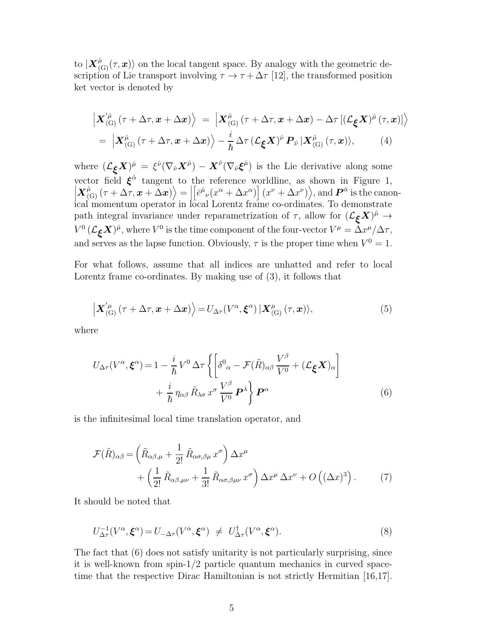to  $|\mathbf{X}^{\hat{\mu}}_{\text{(G)}}(\tau,\mathbf{x})\rangle$  on the local tangent space. By analogy with the geometric description of Lie transport involving  $\tau \to \tau + \Delta \tau$  [12], the transformed position ket vector is denoted by

$$
\left| \mathbf{X}_{\text{(G)}}^{\hat{\mu}} \left( \tau + \Delta \tau, \mathbf{x} + \Delta \mathbf{x} \right) \right\rangle = \left| \mathbf{X}_{\text{(G)}}^{\hat{\mu}} \left( \tau + \Delta \tau, \mathbf{x} + \Delta \mathbf{x} \right) - \Delta \tau \left[ \left( \mathcal{L}_{\xi} \mathbf{X} \right)^{\hat{\mu}} \left( \tau, \mathbf{x} \right) \right] \right\rangle
$$
\n
$$
= \left| \mathbf{X}_{\text{(G)}}^{\hat{\mu}} \left( \tau + \Delta \tau, \mathbf{x} + \Delta \mathbf{x} \right) \right\rangle - \frac{i}{\hbar} \Delta \tau \left( \mathcal{L}_{\xi} \mathbf{X} \right)^{\hat{\nu}} \mathbf{P}_{\hat{\nu}} \left| \mathbf{X}_{\text{(G)}}^{\hat{\mu}} \left( \tau, \mathbf{x} \right) \right\rangle, \tag{4}
$$

where  $(\mathcal{L}_{\xi}X)^{\hat{\mu}} = \xi^{\hat{\nu}}(\nabla_{\hat{\nu}}X^{\hat{\mu}}) - X^{\hat{\nu}}(\nabla_{\hat{\nu}}\xi^{\hat{\mu}})$  is the Lie derivative along some vector field  $\xi^{\hat{\alpha}}$  tangent to the reference worldline, as shown in Figure 1,  $\left| \mathbf{X}_{\text{(G)}}^{\hat{\mu}}(\tau + \Delta \tau, \mathbf{x} + \Delta \mathbf{x}) \right\rangle = \Big|$  $\left[\bar{e}^{\hat{\mu}}{}_{\nu}(x^{\alpha}+\Delta x^{\alpha})\right](x^{\nu}+\Delta x^{\nu})\rangle$ , and  $\mathbf{P}^{\hat{\alpha}}$  is the canonical momentum operator in local Lorentz frame co-ordinates. To demonstrate path integral invariance under reparametrization of  $\tau$ , allow for  $(\mathcal{L}_{\xi}X)^{\hat{\mu}} \to$  $V^0 \left( {\mathcal L}_{\bm{\xi}} {\bm X} \right)^\hat\mu,$  where  $V^0$  is the time component of the four-vector  $V^\mu = \Delta x^\mu / \Delta \tau,$ and serves as the lapse function. Obviously,  $\tau$  is the proper time when  $V^0 = 1$ .

For what follows, assume that all indices are unhatted and refer to local Lorentz frame co-ordinates. By making use of (3), it follows that

$$
\left| \mathbf{X}_{\text{(G)}}^{\prime \mu} \left( \tau + \Delta \tau, \mathbf{x} + \Delta \mathbf{x} \right) \right\rangle = U_{\Delta \tau} (V^{\alpha}, \boldsymbol{\xi}^{\alpha}) \left| \mathbf{X}_{\text{(G)}}^{\mu} \left( \tau, \mathbf{x} \right) \right\rangle, \tag{5}
$$

where

$$
U_{\Delta\tau}(V^{\alpha}, \xi^{\alpha}) = 1 - \frac{i}{\hbar} V^{0} \Delta\tau \left\{ \left[ \delta^{0}_{\alpha} - \mathcal{F}(\tilde{R})_{\alpha\beta} \frac{V^{\beta}}{V^{0}} + (\mathcal{L}_{\xi} X)_{\alpha} \right] + \frac{i}{\hbar} \eta_{\alpha\beta} \tilde{R}_{\lambda\sigma} x^{\sigma} \frac{V^{\beta}}{V^{0}} \mathbf{P}^{\lambda} \right\} \mathbf{P}^{\alpha}
$$
(6)

is the infinitesimal local time translation operator, and

$$
\mathcal{F}(\tilde{R})_{\alpha\beta} = \left(\tilde{R}_{\alpha\beta,\mu} + \frac{1}{2!} \tilde{R}_{\alpha\sigma,\beta\mu} x^{\sigma}\right) \Delta x^{\mu} \n+ \left(\frac{1}{2!} \tilde{R}_{\alpha\beta,\mu\nu} + \frac{1}{3!} \tilde{R}_{\alpha\sigma,\beta\mu\nu} x^{\sigma}\right) \Delta x^{\mu} \Delta x^{\nu} + O\left((\Delta x)^{3}\right).
$$
\n(7)

It should be noted that

$$
U_{\Delta\tau}^{-1}(V^{\alpha}, \xi^{\alpha}) = U_{-\Delta\tau}(V^{\alpha}, \xi^{\alpha}) \neq U_{\Delta\tau}^{\dagger}(V^{\alpha}, \xi^{\alpha}). \tag{8}
$$

The fact that (6) does not satisfy unitarity is not particularly surprising, since it is well-known from spin-1/2 particle quantum mechanics in curved spacetime that the respective Dirac Hamiltonian is not strictly Hermitian [16,17].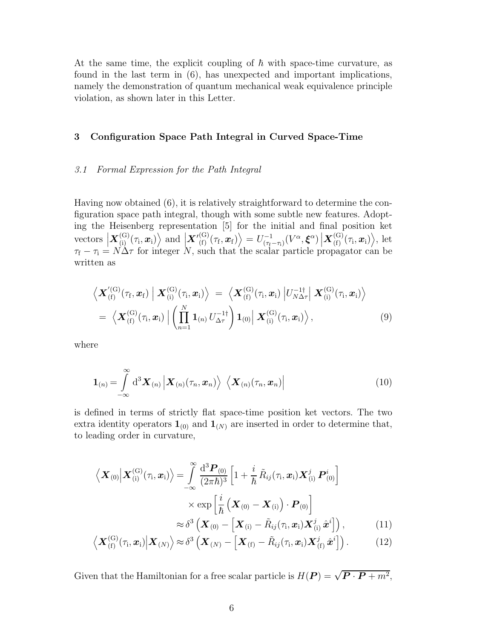At the same time, the explicit coupling of  $\hbar$  with space-time curvature, as found in the last term in (6), has unexpected and important implications, namely the demonstration of quantum mechanical weak equivalence principle violation, as shown later in this Letter.

### 3 Configuration Space Path Integral in Curved Space-Time

#### 3.1 Formal Expression for the Path Integral

Having now obtained (6), it is relatively straightforward to determine the configuration space path integral, though with some subtle new features. Adopting the Heisenberg representation [5] for the initial and final position ket vectors  $\left| \mathbf{X}_{(i)}^{(G)}(\tau_i, \boldsymbol{x}_i) \right\rangle$  and  $\left| \mathbf{X'}_{(f)}^{(G)}(\tau_f, \boldsymbol{x}_f) \right\rangle = U_{(\tau_f - \tau_i)}^{-1}$  $\frac{(-1)}{(\tau_f - \tau_i)}(V^{\alpha}, \boldsymbol{\xi}^{\alpha}) \left| \boldsymbol{X}_{(f)}^{(G)}(\tau_i, \boldsymbol{x}_i) \right\rangle$ , let  $\tau_f - \tau_i = N\Delta\tau$  for integer N, such that the scalar particle propagator can be written as

$$
\left\langle \boldsymbol{X}_{\text{(f)}}^{\text{(G)}}(\tau_{\text{f}}, \boldsymbol{x}_{\text{f}}) \Big| \boldsymbol{X}_{\text{(i)}}^{\text{(G)}}(\tau_{\text{i}}, \boldsymbol{x}_{\text{i}}) \right\rangle = \left\langle \boldsymbol{X}_{\text{(f)}}^{\text{(G)}}(\tau_{\text{i}}, \boldsymbol{x}_{\text{i}}) \Big| U_{N\Delta\tau}^{-1\dagger} \Big| \boldsymbol{X}_{\text{(i)}}^{\text{(G)}}(\tau_{\text{i}}, \boldsymbol{x}_{\text{i}}) \right\rangle = \left\langle \boldsymbol{X}_{\text{(f)}}^{\text{(G)}}(\tau_{\text{i}}, \boldsymbol{x}_{\text{i}}) \Big| \left( \prod_{n=1}^{N} \boldsymbol{1}_{\text{(n)}} U_{\Delta\tau}^{-1\dagger} \right) \boldsymbol{1}_{\text{(0)}} \Big| \boldsymbol{X}_{\text{(i)}}^{\text{(G)}}(\tau_{\text{i}}, \boldsymbol{x}_{\text{i}}) \right\rangle, \tag{9}
$$

where

$$
\mathbf{1}_{(n)} = \int_{-\infty}^{\infty} d^3 \mathbf{X}_{(n)} \left| \mathbf{X}_{(n)}(\tau_n, \mathbf{x}_n) \right\rangle \left\langle \mathbf{X}_{(n)}(\tau_n, \mathbf{x}_n) \right| \tag{10}
$$

is defined in terms of strictly flat space-time position ket vectors. The two extra identity operators  $\mathbf{1}_{(0)}$  and  $\mathbf{1}_{(N)}$  are inserted in order to determine that, to leading order in curvature,

$$
\langle \mathbf{X}_{(0)} | \mathbf{X}_{(i)}^{(G)}(\tau_i, \mathbf{x}_i) \rangle = \int_{-\infty}^{\infty} \frac{d^3 \mathbf{P}_{(0)}}{(2\pi\hbar)^3} \left[ 1 + \frac{i}{\hbar} \tilde{R}_{ij}(\tau_i, \mathbf{x}_i) \mathbf{X}_{(i)}^j \mathbf{P}_{(0)}^i \right] \times \exp \left[ \frac{i}{\hbar} \left( \mathbf{X}_{(0)} - \mathbf{X}_{(i)} \right) \cdot \mathbf{P}_{(0)} \right] \approx \delta^3 \left( \mathbf{X}_{(0)} - \left[ \mathbf{X}_{(i)} - \tilde{R}_{ij}(\tau_i, \mathbf{x}_i) \mathbf{X}_{(i)}^j \hat{\mathbf{x}}^i \right] \right), \qquad (11)
$$

$$
\left\langle \boldsymbol{X}_{\text{(f)}}^{(\text{G})}(\tau_{\text{i}}, \boldsymbol{x}_{\text{i}}) \middle| \boldsymbol{X}_{\text{(N)}} \right\rangle \approx \delta^3 \left( \boldsymbol{X}_{\text{(N)}} - \left[ \boldsymbol{X}_{\text{(f)}} - \tilde{R}_{ij}(\tau_{\text{i}}, \boldsymbol{x}_{\text{i}}) \boldsymbol{X}_{\text{(f)}}^j \hat{\boldsymbol{x}}^i \right] \right). \tag{12}
$$

Given that the Hamiltonian for a free scalar particle is  $H(\mathbf{P}) = \sqrt{\mathbf{P} \cdot \mathbf{P} + m^2}$ ,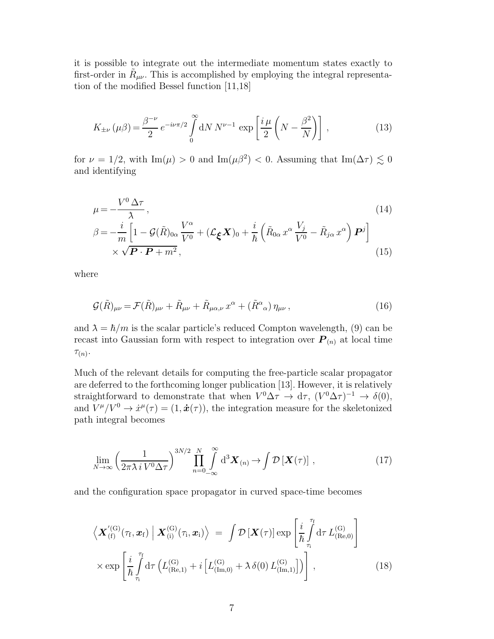it is possible to integrate out the intermediate momentum states exactly to first-order in  $\tilde{R}_{\mu\nu}$ . This is accomplished by employing the integral representation of the modified Bessel function [11,18]

$$
K_{\pm\nu}\left(\mu\beta\right) = \frac{\beta^{-\nu}}{2} e^{-i\nu\pi/2} \int\limits_{0}^{\infty} \mathrm{d}N \, N^{\nu-1} \, \exp\left[\frac{i\,\mu}{2}\left(N - \frac{\beta^2}{N}\right)\right] \,,\tag{13}
$$

for  $\nu = 1/2$ , with Im( $\mu$ ) > 0 and Im( $\mu$  $\beta$ <sup>2</sup>) < 0. Assuming that Im( $\Delta \tau$ )  $\lesssim 0$ and identifying

$$
\mu = -\frac{V^0 \Delta \tau}{\lambda},
$$
\n
$$
\beta = -\frac{i}{m} \left[ 1 - \mathcal{G}(\tilde{R})_{0\alpha} \frac{V^{\alpha}}{V^0} + (\mathcal{L}_{\xi} X)_{0} + \frac{i}{\hbar} \left( \tilde{R}_{0\alpha} x^{\alpha} \frac{V_j}{V^0} - \tilde{R}_{j\alpha} x^{\alpha} \right) \mathbf{P}^j \right]
$$
\n
$$
\times \sqrt{\mathbf{P} \cdot \mathbf{P} + m^2},
$$
\n(15)

where

$$
\mathcal{G}(\tilde{R})_{\mu\nu} = \mathcal{F}(\tilde{R})_{\mu\nu} + \tilde{R}_{\mu\nu} + \tilde{R}_{\mu\alpha,\nu} x^{\alpha} + (\tilde{R}^{\alpha}{}_{\alpha}) \eta_{\mu\nu}, \qquad (16)
$$

and  $\lambda = \hbar/m$  is the scalar particle's reduced Compton wavelength, (9) can be recast into Gaussian form with respect to integration over  $P_{(n)}$  at local time  $\tau(n)$ .

Much of the relevant details for computing the free-particle scalar propagator are deferred to the forthcoming longer publication [13]. However, it is relatively straightforward to demonstrate that when  $V^0 \Delta \tau \to d\tau$ ,  $(V^0 \Delta \tau)^{-1} \to \delta(0)$ , and  $V^{\mu}/V^0 \rightarrow \dot{x}^{\mu}(\tau) = (1, \dot{\boldsymbol{x}}(\tau))$ , the integration measure for the skeletonized path integral becomes

$$
\lim_{N \to \infty} \left( \frac{1}{2\pi \lambda i V^0 \Delta \tau} \right)^{3N/2} \prod_{n=0}^{N} \int_{-\infty}^{\infty} d^3 \mathbf{X}_{(n)} \to \int \mathcal{D} \left[ \mathbf{X}(\tau) \right], \tag{17}
$$

and the configuration space propagator in curved space-time becomes

$$
\left\langle \boldsymbol{X}'^{(G)}_{(f)}(\tau_{f}, \boldsymbol{x}_{f}) \mid \boldsymbol{X}^{(G)}_{(i)}(\tau_{i}, \boldsymbol{x}_{i}) \right\rangle = \int \mathcal{D} \left[ \boldsymbol{X}(\tau) \right] \exp \left[ \frac{i}{\hbar} \int_{\tau_{i}}^{\tau_{f}} d\tau \, L^{(G)}_{(Re, 0)} \right] \times \exp \left[ \frac{i}{\hbar} \int_{\tau_{i}}^{\tau_{f}} d\tau \left( L^{(G)}_{(Re, 1)} + i \left[ L^{(G)}_{(Im, 0)} + \lambda \, \delta(0) \, L^{(G)}_{(Im, 1)} \right] \right) \right], \tag{18}
$$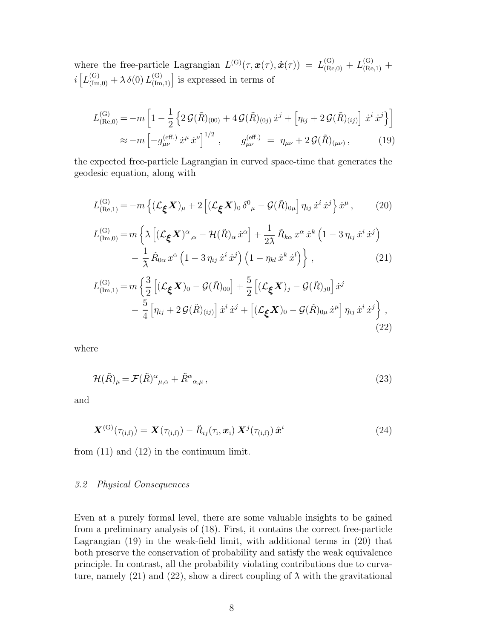where the free-particle Lagrangian  $L^{(G)}(\tau, \mathbf{x}(\tau), \dot{\mathbf{x}}(\tau)) = L^{(G)}_{(Re, 0)} + L^{(G)}_{(Re, 1)} +$  $i\left[L_{(\text{Im},0)}^{(\text{G})} + \lambda \delta(0) L_{(\text{Im},1)}^{(\text{G})}\right]$  is expressed in terms of

$$
L_{\text{(Re,0)}}^{\text{(G)}} = -m \left[ 1 - \frac{1}{2} \left\{ 2 \mathcal{G}(\tilde{R})_{(00)} + 4 \mathcal{G}(\tilde{R})_{(0j)} \dot{x}^j + \left[ \eta_{ij} + 2 \mathcal{G}(\tilde{R})_{(ij)} \right] \dot{x}^i \dot{x}^j \right\} \right]
$$
  

$$
\approx -m \left[ -g_{\mu\nu}^{\text{(eff.)}} \dot{x}^\mu \dot{x}^\nu \right]^{1/2}, \qquad g_{\mu\nu}^{\text{(eff.)}} = \eta_{\mu\nu} + 2 \mathcal{G}(\tilde{R})_{(\mu\nu)}, \qquad (19)
$$

the expected free-particle Lagrangian in curved space-time that generates the geodesic equation, along with

$$
L_{\text{(Re,1)}}^{(\text{G})} = -m\left\{ (\mathcal{L}_{\xi}X)_{\mu} + 2\left[ (\mathcal{L}_{\xi}X)_{0}\delta^{0}_{\mu} - \mathcal{G}(\tilde{R})_{0\mu} \right] \eta_{ij} \dot{x}^{i} \dot{x}^{j} \right\} \dot{x}^{\mu}, \qquad (20)
$$
  
\n
$$
L_{\text{(Im,0)}}^{(\text{G})} = m\left\{ \lambda \left[ (\mathcal{L}_{\xi}X)^{\alpha}_{,\alpha} - \mathcal{H}(\tilde{R})_{\alpha} \dot{x}^{\alpha} \right] + \frac{1}{2\lambda} \tilde{R}_{k\alpha} x^{\alpha} \dot{x}^{k} \left( 1 - 3 \eta_{ij} \dot{x}^{i} \dot{x}^{j} \right) \right. \\ \left. - \frac{1}{\lambda} \tilde{R}_{0\alpha} x^{\alpha} \left( 1 - 3 \eta_{ij} \dot{x}^{i} \dot{x}^{j} \right) \left( 1 - \eta_{kl} \dot{x}^{k} \dot{x}^{l} \right) \right\}, \qquad (21)
$$
  
\n
$$
L_{\text{(Im,1)}}^{(\text{G})} = m\left\{ \frac{3}{2} \left[ (\mathcal{L}_{\xi}X)_{0} - \mathcal{G}(\tilde{R})_{00} \right] + \frac{5}{2} \left[ (\mathcal{L}_{\xi}X)_{j} - \mathcal{G}(\tilde{R})_{j0} \right] \dot{x}^{j} - \frac{5}{4} \left[ \eta_{ij} + 2 \mathcal{G}(\tilde{R})_{(ij)} \right] \dot{x}^{i} \dot{x}^{j} + \left[ (\mathcal{L}_{\xi}X)_{0} - \mathcal{G}(\tilde{R})_{0\mu} \dot{x}^{\mu} \right] \eta_{ij} \dot{x}^{i} \dot{x}^{j} \right\},
$$

where

$$
\mathcal{H}(\tilde{R})_{\mu} = \mathcal{F}(\tilde{R})^{\alpha}{}_{\mu,\alpha} + \tilde{R}^{\alpha}{}_{\alpha,\mu} \,, \tag{23}
$$

(22)

and

$$
\boldsymbol{X}^{(\mathrm{G})}(\tau_{(\mathrm{i},\mathrm{f})}) = \boldsymbol{X}(\tau_{(\mathrm{i},\mathrm{f})}) - \tilde{R}_{ij}(\tau_{\mathrm{i}},\boldsymbol{x}_{\mathrm{i}}) \boldsymbol{X}^{j}(\tau_{(\mathrm{i},\mathrm{f})}) \hat{\boldsymbol{x}}^{i}
$$
(24)

from (11) and (12) in the continuum limit.

#### 3.2 Physical Consequences

Even at a purely formal level, there are some valuable insights to be gained from a preliminary analysis of (18). First, it contains the correct free-particle Lagrangian (19) in the weak-field limit, with additional terms in (20) that both preserve the conservation of probability and satisfy the weak equivalence principle. In contrast, all the probability violating contributions due to curvature, namely (21) and (22), show a direct coupling of  $\lambda$  with the gravitational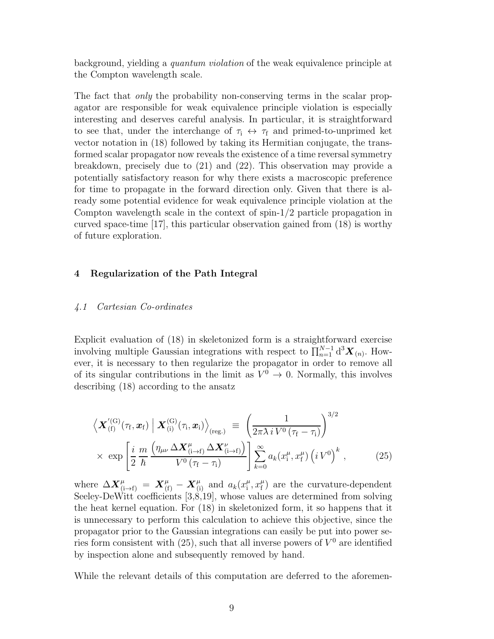background, yielding a quantum violation of the weak equivalence principle at the Compton wavelength scale.

The fact that *only* the probability non-conserving terms in the scalar propagator are responsible for weak equivalence principle violation is especially interesting and deserves careful analysis. In particular, it is straightforward to see that, under the interchange of  $\tau_i \leftrightarrow \tau_f$  and primed-to-unprimed ket vector notation in (18) followed by taking its Hermitian conjugate, the transformed scalar propagator now reveals the existence of a time reversal symmetry breakdown, precisely due to (21) and (22). This observation may provide a potentially satisfactory reason for why there exists a macroscopic preference for time to propagate in the forward direction only. Given that there is already some potential evidence for weak equivalence principle violation at the Compton wavelength scale in the context of spin-1/2 particle propagation in curved space-time [17], this particular observation gained from (18) is worthy of future exploration.

## 4 Regularization of the Path Integral

### 4.1 Cartesian Co-ordinates

Explicit evaluation of (18) in skeletonized form is a straightforward exercise involving multiple Gaussian integrations with respect to  $\prod_{n=1}^{N-1} d^3 \mathbf{X}_{(n)}$ . However, it is necessary to then regularize the propagator in order to remove all of its singular contributions in the limit as  $V^0 \to 0$ . Normally, this involves describing (18) according to the ansatz

$$
\left\langle \mathbf{X}'^{(\mathrm{G})}_{(\mathrm{f})}(\tau_{\mathrm{f}}, \mathbf{x}_{\mathrm{f}}) \middle| \mathbf{X}^{(\mathrm{G})}_{(\mathrm{i})}(\tau_{\mathrm{i}}, \mathbf{x}_{\mathrm{i}}) \right\rangle_{(\mathrm{reg.})} \equiv \left( \frac{1}{2\pi\lambda i V^{0}(\tau_{\mathrm{f}} - \tau_{\mathrm{i}})} \right)^{3/2} \times \exp \left[ \frac{i}{2} \frac{m}{\hbar} \frac{\left( \eta_{\mu\nu} \Delta \mathbf{X}^{\mu}_{(\mathrm{i} \to \mathrm{f})} \Delta \mathbf{X}^{\nu}_{(\mathrm{i} \to \mathrm{f})} \right)}{V^{0}(\tau_{\mathrm{f}} - \tau_{\mathrm{i}})} \right] \sum_{k=0}^{\infty} a_{k}(x^{\mu}_{\mathrm{i}}, x^{\mu}_{\mathrm{f}}) \left( i V^{0} \right)^{k} , \tag{25}
$$

where  $\Delta \boldsymbol{X}_{(i\to f)}^{\mu} = \boldsymbol{X}_{(f)}^{\mu} - \boldsymbol{X}_{(i)}^{\mu}$  and  $a_k(x_i^{\mu})$  $\mu_{\rm i}^{\mu}$ ,  $x_{\rm f}^{\mu}$  $_{\rm f}^{\mu}$ ) are the curvature-dependent Seeley-DeWitt coefficients [3,8,19], whose values are determined from solving the heat kernel equation. For (18) in skeletonized form, it so happens that it is unnecessary to perform this calculation to achieve this objective, since the propagator prior to the Gaussian integrations can easily be put into power series form consistent with  $(25)$ , such that all inverse powers of  $V^0$  are identified by inspection alone and subsequently removed by hand.

While the relevant details of this computation are deferred to the aforemen-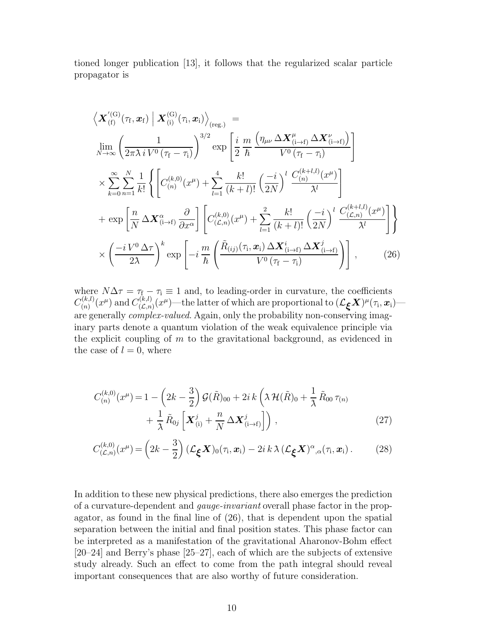tioned longer publication [13], it follows that the regularized scalar particle propagator is

$$
\left\langle \mathbf{X}_{\text{(f)}}^{\prime\text{(G)}}(\tau_{\text{f}},\mathbf{x}_{\text{f}}) \middle| \mathbf{X}_{\text{(i)}}^{\text{(G)}}(\tau_{\text{i}},\mathbf{x}_{\text{i}}) \right\rangle_{\text{(reg.)}} =
$$
\n
$$
\lim_{N \to \infty} \left( \frac{1}{2\pi \lambda i V^{0}(\tau_{\text{f}} - \tau_{\text{i}})} \right)^{3/2} \exp \left[ \frac{i}{2} \frac{m}{\hbar} \frac{\left( \eta_{\mu\nu} \Delta \mathbf{X}_{\text{(i}}^{\mu} \Delta \mathbf{X}_{\text{(i)}^{\mu}}^{\nu} \right)}{V^{0}(\tau_{\text{f}} - \tau_{\text{i}})} \right]
$$
\n
$$
\times \sum_{k=0}^{\infty} \sum_{n=1}^{N} \frac{1}{k!} \left\{ \left[ C_{\text{(n)}}^{(k,0)}(x^{\mu}) + \sum_{l=1}^{4} \frac{k!}{(k+l)!} \left( \frac{-i}{2N} \right)^{l} \frac{C_{\text{(n)}}^{(k+l,l)}(x^{\mu})}{\lambda^{l}} \right] + \exp \left[ \frac{n}{N} \Delta \mathbf{X}_{\text{(i)}^{\alpha} + \beta}^{\alpha} \frac{\partial}{\partial x^{\alpha}} \right] \left[ C_{\text{(L,n)}}^{(k,0)}(x^{\mu}) + \sum_{l=1}^{2} \frac{k!}{(k+l)!} \left( \frac{-i}{2N} \right)^{l} \frac{C_{\text{(L,n)}}^{(k+l,l)}(x^{\mu})}{\lambda^{l}} \right] \right\}
$$
\n
$$
\times \left( \frac{-i V^{0} \Delta \tau}{2\lambda} \right)^{k} \exp \left[ -i \frac{m}{\hbar} \left( \frac{\tilde{R}_{\text{(ij)}}(\tau_{\text{i}},\mathbf{x}_{\text{i}}) \Delta \mathbf{X}_{\text{(i)}^{\alpha} + \beta}^{\nu} \Delta \mathbf{X}_{\text{(i)}^{\beta} + \beta}^{\nu} \right) \right], \qquad (26)
$$

where  $N\Delta\tau = \tau_f - \tau_i \equiv 1$  and, to leading-order in curvature, the coefficients  $C_{(n)}^{(k,l)}$  $C^{(k,l)}_{(n)}(x^\mu)$  and  $C^{(k,l)}_{(\mathcal{L},n)}$  $\mathcal{L}^{(k,l)}_{(\mathcal{L},n)}(x^\mu)$ —the latter of which are proportional to  $(\mathcal{L}_{\bm{\xi}}\bm{X})^{\mu}(\tau_{\mathrm{i}},\bm{x}_{\mathrm{i}})$  are generally *complex-valued*. Again, only the probability non-conserving imaginary parts denote a quantum violation of the weak equivalence principle via the explicit coupling of  $m$  to the gravitational background, as evidenced in the case of  $l = 0$ , where

$$
C_{(n)}^{(k,0)}(x^{\mu}) = 1 - \left(2k - \frac{3}{2}\right) \mathcal{G}(\tilde{R})_{00} + 2i k \left(\lambda \mathcal{H}(\tilde{R})_0 + \frac{1}{\lambda} \tilde{R}_{00} \tau_{(n)} + \frac{1}{\lambda} \tilde{R}_{0j} \left[\mathbf{X}_{(i)}^j + \frac{n}{N} \Delta \mathbf{X}_{(i \to f)}^j\right]\right),
$$
\n(27)

$$
C_{(\mathcal{L},n)}^{(k,0)}(x^{\mu}) = \left(2k - \frac{3}{2}\right)(\mathcal{L}_{\xi}X)_{0}(\tau_{\mathrm{i}}, x_{\mathrm{i}}) - 2i k \lambda (\mathcal{L}_{\xi}X)^{\alpha}{}_{,\alpha}(\tau_{\mathrm{i}}, x_{\mathrm{i}}).
$$
 (28)

In addition to these new physical predictions, there also emerges the prediction of a curvature-dependent and gauge-invariant overall phase factor in the propagator, as found in the final line of (26), that is dependent upon the spatial separation between the initial and final position states. This phase factor can be interpreted as a manifestation of the gravitational Aharonov-Bohm effect [20–24] and Berry's phase [25–27], each of which are the subjects of extensive study already. Such an effect to come from the path integral should reveal important consequences that are also worthy of future consideration.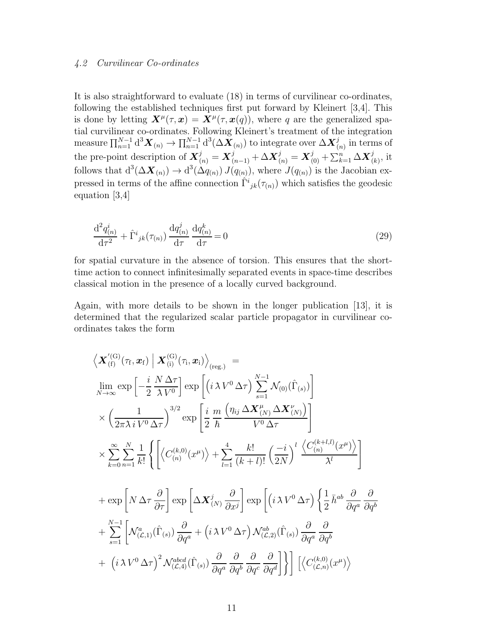## 4.2 Curvilinear Co-ordinates

It is also straightforward to evaluate (18) in terms of curvilinear co-ordinates, following the established techniques first put forward by Kleinert [3,4]. This is done by letting  $\mathbf{X}^{\mu}(\tau,\mathbf{x}) = \mathbf{X}^{\mu}(\tau,\mathbf{x}(q))$ , where q are the generalized spatial curvilinear co-ordinates. Following Kleinert's treatment of the integration measure  $\prod_{n=1}^{N-1} d^3 \bm{X}_{(n)} \to \prod_{n=1}^{N-1} d^3 (\Delta \bm{X}_{(n)})$  to integrate over  $\Delta \bm{X}^j_{(n)}$  in terms of the pre-point description of  $\boldsymbol{X}_{(n)}^j = \boldsymbol{X}_{(n-1)}^j + \Delta \boldsymbol{X}_{(n)}^j = \boldsymbol{X}_{(0)}^j + \sum_{k=1}^n \Delta \boldsymbol{X}_{(k)}^j$ , it follows that  $d^3(\Delta \mathbf{X}_{(n)}) \to d^3(\Delta q_{(n)}) J(q_{(n)})$ , where  $J(q_{(n)})$  is the Jacobian expressed in terms of the affine connection  $\hat{\Gamma}^i_{jk}(\tau_{(n)})$  which satisfies the geodesic equation [3,4]

$$
\frac{\mathrm{d}^2 q_{(n)}^i}{\mathrm{d}\tau^2} + \hat{\Gamma}^i{}_{jk}(\tau_{(n)}) \frac{\mathrm{d} q_{(n)}^j}{\mathrm{d}\tau} \frac{\mathrm{d} q_{(n)}^k}{\mathrm{d}\tau} = 0
$$
\n(29)

for spatial curvature in the absence of torsion. This ensures that the shorttime action to connect infinitesimally separated events in space-time describes classical motion in the presence of a locally curved background.

Again, with more details to be shown in the longer publication [13], it is determined that the regularized scalar particle propagator in curvilinear coordinates takes the form

$$
\langle \mathbf{X}_{\text{(f)}}^{\prime(\text{G})}(\tau_{\text{f}}, \mathbf{x}_{\text{f}}) | \mathbf{X}_{\text{(i)}}^{\text{(G)}}(\tau_{\text{i}}, \mathbf{x}_{\text{i}}) \rangle_{\text{(reg.)}} =
$$
\n
$$
\lim_{N \to \infty} \exp \left[ -\frac{i}{2} \frac{N \Delta \tau}{\lambda V^0} \right] \exp \left[ \left( i \lambda V^0 \Delta \tau \right) \sum_{s=1}^{N-1} \mathcal{N}_{\text{(0)}}(\hat{\Gamma}_{\text{(s)}}) \right]
$$
\n
$$
\times \left( \frac{1}{2\pi \lambda i V^0 \Delta \tau} \right)^{3/2} \exp \left[ \frac{i}{2} \frac{m}{\hbar} \frac{\left( \eta_{ij} \Delta \mathbf{X}_{\text{(N)}}^{\mu} \Delta \mathbf{X}_{\text{(N)}}^{\nu} \right)}{V^0 \Delta \tau} \right]
$$
\n
$$
\times \sum_{k=0}^{\infty} \sum_{n=1}^{N} \frac{1}{k!} \left\{ \left[ \left\langle C_{\text{(n)}}^{(k,0)}(x^{\mu}) \right\rangle + \sum_{l=1}^{4} \frac{k!}{(k+l)!} \left( \frac{-i}{2N} \right)^l \frac{\left\langle C_{\text{(n)}}^{(k+l,l)}(x^{\mu}) \right\rangle}{\lambda^l} \right]
$$
\n
$$
+ \exp \left[ N \Delta \tau \frac{\partial}{\partial \tau} \right] \exp \left[ \Delta \mathbf{X}_{\text{(N)}}^j \frac{\partial}{\partial x^j} \right] \exp \left[ \left( i \lambda V^0 \Delta \tau \right) \left\{ \frac{1}{2} \bar{h}^{ab} \frac{\partial}{\partial q^a} \frac{\partial}{\partial q^b} \right. \right.
$$
\n
$$
+ \sum_{s=1}^{N-1} \left[ \mathcal{N}_{\text{(2,1)}}^a(\hat{\Gamma}_{\text{(s)}}) \frac{\partial}{\partial q^a} + \left( i \lambda V^0 \Delta \tau \right) \mathcal{N}_{\text{(2,2)}}^{\text{(b)}}(\hat{\Gamma}_{\text{(s)}}) \frac{\partial}{\partial q^a} \frac{\partial}{\partial q^b} \right. \right.
$$
\n
$$
+ \left( i \lambda V^0 \Delta \tau \right)^2 \
$$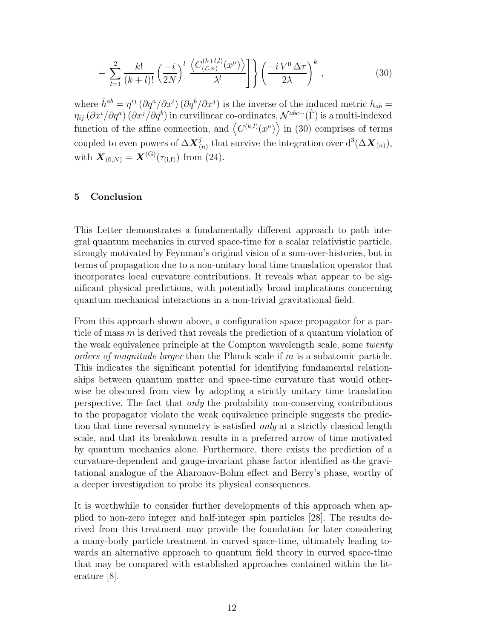$$
+\sum_{l=1}^{2} \frac{k!}{(k+l)!} \left(\frac{-i}{2N}\right)^l \frac{\left\langle C_{(\mathcal{L},n)}^{(k+l,l)}(x^{\mu}) \right\rangle}{\lambda^l} \left[\left(\frac{-i V^0 \Delta \tau}{2\lambda}\right)^k,\right] \tag{30}
$$

where  $\bar{h}^{ab} = \eta^{ij} (\partial q^a / \partial x^i) (\partial q^b / \partial x^j)$  is the inverse of the induced metric  $h_{ab} =$  $\eta_{ij}$   $(\partial x^i/\partial q^a)$   $(\partial x^j/\partial q^b)$  in curvilinear co-ordinates,  $\mathcal{N}^{abc\cdots}(\hat{\Gamma})$  is a multi-indexed function of the affine connection, and  $\langle C^{(k,l)}(x^{\mu}) \rangle$  in (30) comprises of terms coupled to even powers of  $\Delta \textbf{\textit{X}}_{(n)}^{j}$  that survive the integration over  $d^{3}(\Delta \textbf{\textit{X}}_{(n)}),$ with  $\mathbf{X}_{(0,N)} = \mathbf{X}^{(G)}(\tau_{(i,f)})$  from (24).

## 5 Conclusion

This Letter demonstrates a fundamentally different approach to path integral quantum mechanics in curved space-time for a scalar relativistic particle, strongly motivated by Feynman's original vision of a sum-over-histories, but in terms of propagation due to a non-unitary local time translation operator that incorporates local curvature contributions. It reveals what appear to be significant physical predictions, with potentially broad implications concerning quantum mechanical interactions in a non-trivial gravitational field.

From this approach shown above, a configuration space propagator for a particle of mass m is derived that reveals the prediction of a quantum violation of the weak equivalence principle at the Compton wavelength scale, some twenty orders of magnitude larger than the Planck scale if m is a subatomic particle. This indicates the significant potential for identifying fundamental relationships between quantum matter and space-time curvature that would otherwise be obscured from view by adopting a strictly unitary time translation perspective. The fact that only the probability non-conserving contributions to the propagator violate the weak equivalence principle suggests the prediction that time reversal symmetry is satisfied *only* at a strictly classical length scale, and that its breakdown results in a preferred arrow of time motivated by quantum mechanics alone. Furthermore, there exists the prediction of a curvature-dependent and gauge-invariant phase factor identified as the gravitational analogue of the Aharonov-Bohm effect and Berry's phase, worthy of a deeper investigation to probe its physical consequences.

It is worthwhile to consider further developments of this approach when applied to non-zero integer and half-integer spin particles [28]. The results derived from this treatment may provide the foundation for later considering a many-body particle treatment in curved space-time, ultimately leading towards an alternative approach to quantum field theory in curved space-time that may be compared with established approaches contained within the literature [8].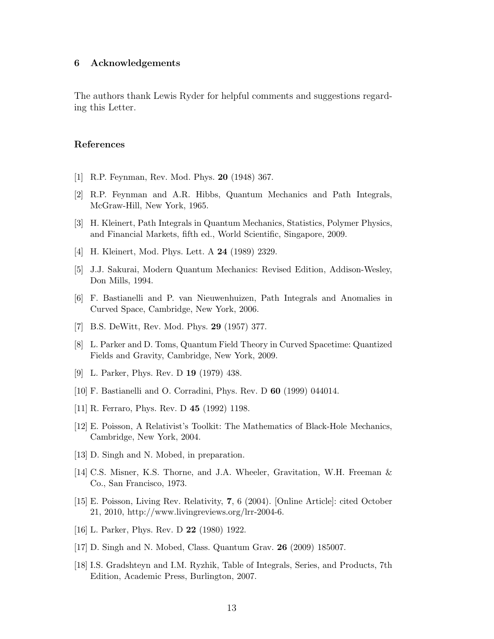#### 6 Acknowledgements

The authors thank Lewis Ryder for helpful comments and suggestions regarding this Letter.

#### References

- [1] R.P. Feynman, Rev. Mod. Phys. 20 (1948) 367.
- [2] R.P. Feynman and A.R. Hibbs, Quantum Mechanics and Path Integrals, McGraw-Hill, New York, 1965.
- [3] H. Kleinert, Path Integrals in Quantum Mechanics, Statistics, Polymer Physics, and Financial Markets, fifth ed., World Scientific, Singapore, 2009.
- [4] H. Kleinert, Mod. Phys. Lett. A 24 (1989) 2329.
- [5] J.J. Sakurai, Modern Quantum Mechanics: Revised Edition, Addison-Wesley, Don Mills, 1994.
- [6] F. Bastianelli and P. van Nieuwenhuizen, Path Integrals and Anomalies in Curved Space, Cambridge, New York, 2006.
- [7] B.S. DeWitt, Rev. Mod. Phys. 29 (1957) 377.
- [8] L. Parker and D. Toms, Quantum Field Theory in Curved Spacetime: Quantized Fields and Gravity, Cambridge, New York, 2009.
- [9] L. Parker, Phys. Rev. D 19 (1979) 438.
- [10] F. Bastianelli and O. Corradini, Phys. Rev. D 60 (1999) 044014.
- [11] R. Ferraro, Phys. Rev. D 45 (1992) 1198.
- [12] E. Poisson, A Relativist's Toolkit: The Mathematics of Black-Hole Mechanics, Cambridge, New York, 2004.
- [13] D. Singh and N. Mobed, in preparation.
- [14] C.S. Misner, K.S. Thorne, and J.A. Wheeler, Gravitation, W.H. Freeman & Co., San Francisco, 1973.
- [15] E. Poisson, Living Rev. Relativity, 7, 6 (2004). [Online Article]: cited October 21, 2010, http://www.livingreviews.org/lrr-2004-6.
- [16] L. Parker, Phys. Rev. D 22 (1980) 1922.
- [17] D. Singh and N. Mobed, Class. Quantum Grav. 26 (2009) 185007.
- [18] I.S. Gradshteyn and I.M. Ryzhik, Table of Integrals, Series, and Products, 7th Edition, Academic Press, Burlington, 2007.